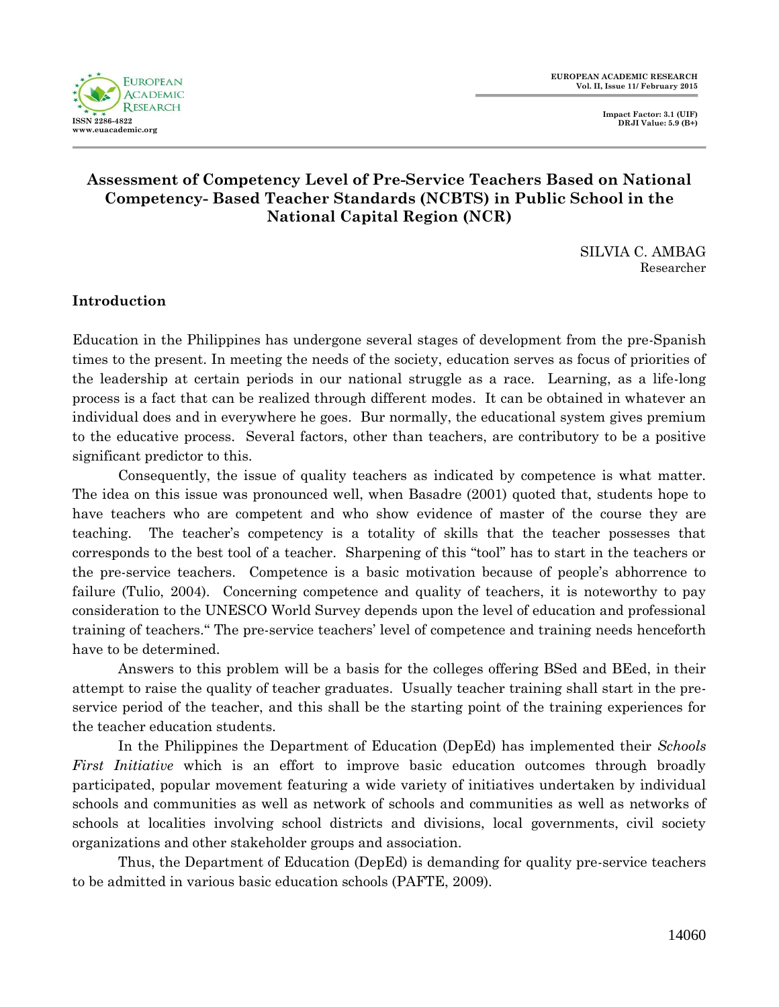**EUROPEAN ACADEMIC RESEARCH Vol. II, Issue 11/ February 2015**



# **Assessment of Competency Level of Pre-Service Teachers Based on National Competency- Based Teacher Standards (NCBTS) in Public School in the National Capital Region (NCR)**

SILVIA C. AMBAG Researcher

## **Introduction**

Education in the Philippines has undergone several stages of development from the pre-Spanish times to the present. In meeting the needs of the society, education serves as focus of priorities of the leadership at certain periods in our national struggle as a race. Learning, as a life-long process is a fact that can be realized through different modes. It can be obtained in whatever an individual does and in everywhere he goes. Bur normally, the educational system gives premium to the educative process. Several factors, other than teachers, are contributory to be a positive significant predictor to this.

Consequently, the issue of quality teachers as indicated by competence is what matter. The idea on this issue was pronounced well, when Basadre (2001) quoted that, students hope to have teachers who are competent and who show evidence of master of the course they are teaching. The teacher's competency is a totality of skills that the teacher possesses that corresponds to the best tool of a teacher. Sharpening of this "tool" has to start in the teachers or the pre-service teachers. Competence is a basic motivation because of people's abhorrence to failure (Tulio, 2004). Concerning competence and quality of teachers, it is noteworthy to pay consideration to the UNESCO World Survey depends upon the level of education and professional training of teachers." The pre-service teachers' level of competence and training needs henceforth have to be determined.

Answers to this problem will be a basis for the colleges offering BSed and BEed, in their attempt to raise the quality of teacher graduates. Usually teacher training shall start in the preservice period of the teacher, and this shall be the starting point of the training experiences for the teacher education students.

In the Philippines the Department of Education (DepEd) has implemented their *Schools First Initiative* which is an effort to improve basic education outcomes through broadly participated, popular movement featuring a wide variety of initiatives undertaken by individual schools and communities as well as network of schools and communities as well as networks of schools at localities involving school districts and divisions, local governments, civil society organizations and other stakeholder groups and association.

Thus, the Department of Education (DepEd) is demanding for quality pre-service teachers to be admitted in various basic education schools (PAFTE, 2009).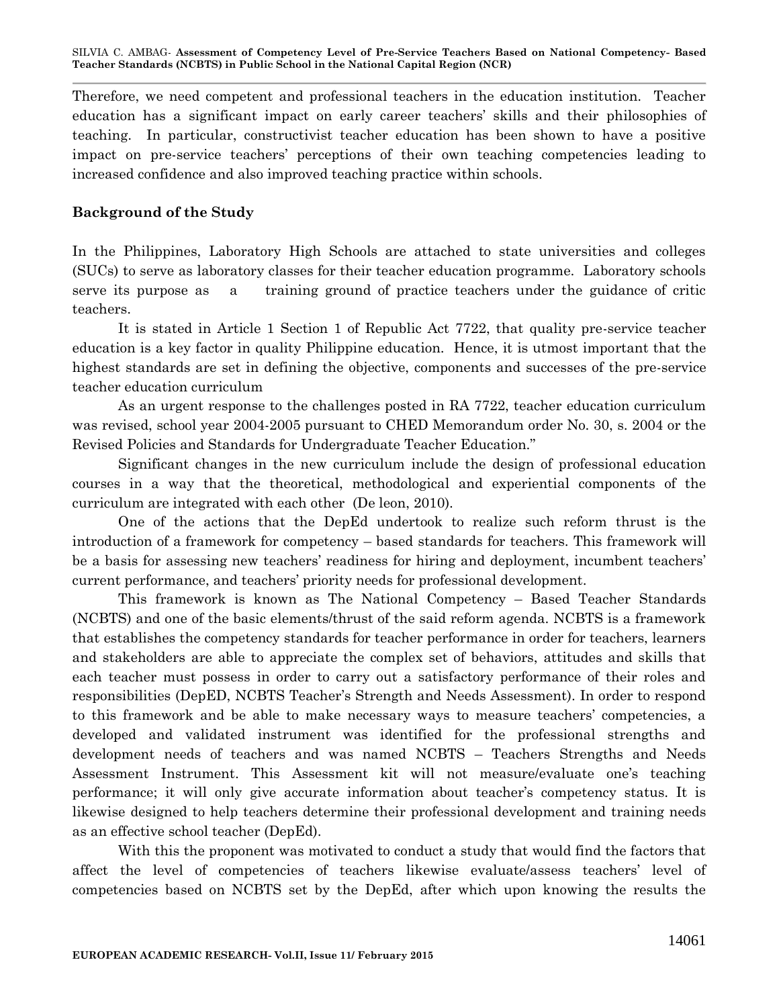Therefore, we need competent and professional teachers in the education institution. Teacher education has a significant impact on early career teachers' skills and their philosophies of teaching. In particular, constructivist teacher education has been shown to have a positive impact on pre-service teachers' perceptions of their own teaching competencies leading to increased confidence and also improved teaching practice within schools.

### **Background of the Study**

In the Philippines, Laboratory High Schools are attached to state universities and colleges (SUCs) to serve as laboratory classes for their teacher education programme. Laboratory schools serve its purpose as a training ground of practice teachers under the guidance of critic teachers.

It is stated in Article 1 Section 1 of Republic Act 7722, that quality pre-service teacher education is a key factor in quality Philippine education. Hence, it is utmost important that the highest standards are set in defining the objective, components and successes of the pre-service teacher education curriculum

As an urgent response to the challenges posted in RA 7722, teacher education curriculum was revised, school year 2004-2005 pursuant to CHED Memorandum order No. 30, s. 2004 or the Revised Policies and Standards for Undergraduate Teacher Education."

Significant changes in the new curriculum include the design of professional education courses in a way that the theoretical, methodological and experiential components of the curriculum are integrated with each other (De leon, 2010).

One of the actions that the DepEd undertook to realize such reform thrust is the introduction of a framework for competency – based standards for teachers. This framework will be a basis for assessing new teachers' readiness for hiring and deployment, incumbent teachers' current performance, and teachers' priority needs for professional development.

This framework is known as The National Competency – Based Teacher Standards (NCBTS) and one of the basic elements/thrust of the said reform agenda. NCBTS is a framework that establishes the competency standards for teacher performance in order for teachers, learners and stakeholders are able to appreciate the complex set of behaviors, attitudes and skills that each teacher must possess in order to carry out a satisfactory performance of their roles and responsibilities (DepED, NCBTS Teacher's Strength and Needs Assessment). In order to respond to this framework and be able to make necessary ways to measure teachers' competencies, a developed and validated instrument was identified for the professional strengths and development needs of teachers and was named NCBTS – Teachers Strengths and Needs Assessment Instrument. This Assessment kit will not measure/evaluate one's teaching performance; it will only give accurate information about teacher's competency status. It is likewise designed to help teachers determine their professional development and training needs as an effective school teacher (DepEd).

With this the proponent was motivated to conduct a study that would find the factors that affect the level of competencies of teachers likewise evaluate/assess teachers' level of competencies based on NCBTS set by the DepEd, after which upon knowing the results the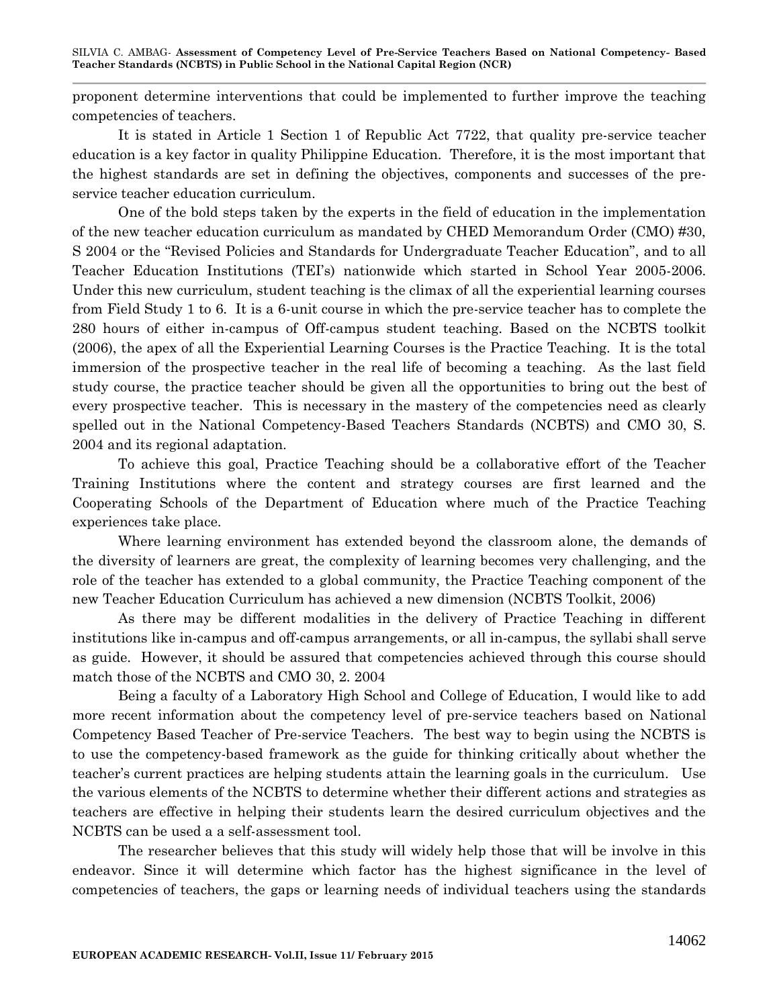proponent determine interventions that could be implemented to further improve the teaching competencies of teachers.

It is stated in Article 1 Section 1 of Republic Act 7722, that quality pre-service teacher education is a key factor in quality Philippine Education. Therefore, it is the most important that the highest standards are set in defining the objectives, components and successes of the preservice teacher education curriculum.

One of the bold steps taken by the experts in the field of education in the implementation of the new teacher education curriculum as mandated by CHED Memorandum Order (CMO) #30, S 2004 or the "Revised Policies and Standards for Undergraduate Teacher Education", and to all Teacher Education Institutions (TEI's) nationwide which started in School Year 2005-2006. Under this new curriculum, student teaching is the climax of all the experiential learning courses from Field Study 1 to 6. It is a 6-unit course in which the pre-service teacher has to complete the 280 hours of either in-campus of Off-campus student teaching. Based on the NCBTS toolkit (2006), the apex of all the Experiential Learning Courses is the Practice Teaching. It is the total immersion of the prospective teacher in the real life of becoming a teaching. As the last field study course, the practice teacher should be given all the opportunities to bring out the best of every prospective teacher. This is necessary in the mastery of the competencies need as clearly spelled out in the National Competency-Based Teachers Standards (NCBTS) and CMO 30, S. 2004 and its regional adaptation.

To achieve this goal, Practice Teaching should be a collaborative effort of the Teacher Training Institutions where the content and strategy courses are first learned and the Cooperating Schools of the Department of Education where much of the Practice Teaching experiences take place.

Where learning environment has extended beyond the classroom alone, the demands of the diversity of learners are great, the complexity of learning becomes very challenging, and the role of the teacher has extended to a global community, the Practice Teaching component of the new Teacher Education Curriculum has achieved a new dimension (NCBTS Toolkit, 2006)

As there may be different modalities in the delivery of Practice Teaching in different institutions like in-campus and off-campus arrangements, or all in-campus, the syllabi shall serve as guide. However, it should be assured that competencies achieved through this course should match those of the NCBTS and CMO 30, 2. 2004

Being a faculty of a Laboratory High School and College of Education, I would like to add more recent information about the competency level of pre-service teachers based on National Competency Based Teacher of Pre-service Teachers. The best way to begin using the NCBTS is to use the competency-based framework as the guide for thinking critically about whether the teacher's current practices are helping students attain the learning goals in the curriculum. Use the various elements of the NCBTS to determine whether their different actions and strategies as teachers are effective in helping their students learn the desired curriculum objectives and the NCBTS can be used a a self-assessment tool.

The researcher believes that this study will widely help those that will be involve in this endeavor. Since it will determine which factor has the highest significance in the level of competencies of teachers, the gaps or learning needs of individual teachers using the standards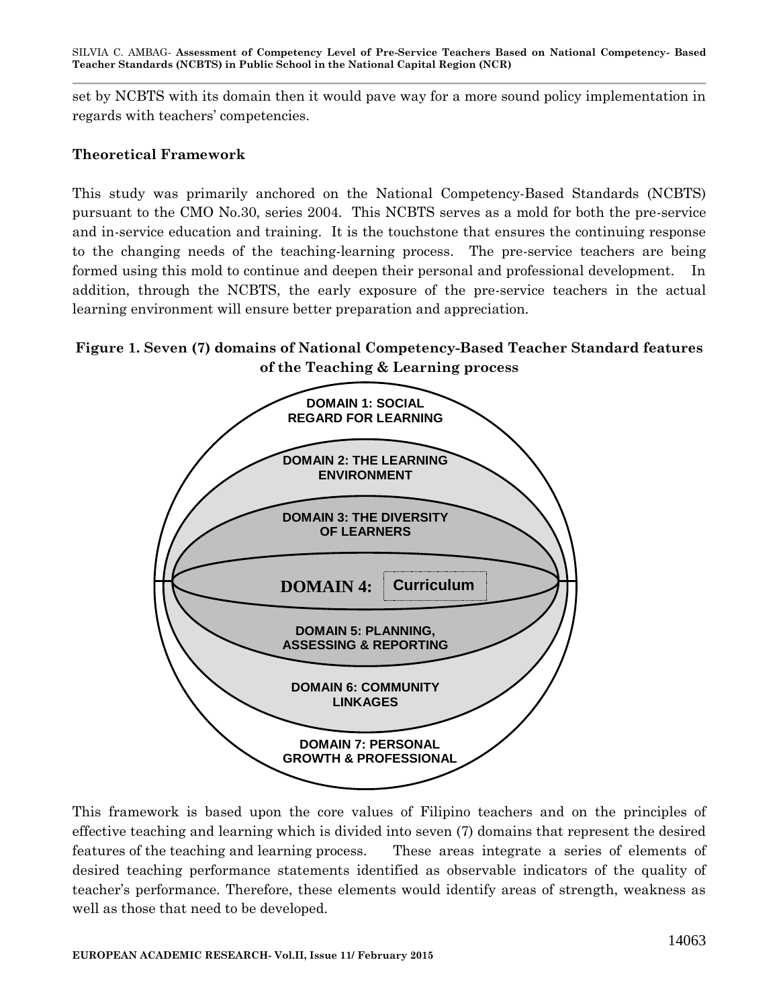set by NCBTS with its domain then it would pave way for a more sound policy implementation in regards with teachers' competencies.

#### **Theoretical Framework**

This study was primarily anchored on the National Competency-Based Standards (NCBTS) pursuant to the CMO No.30, series 2004. This NCBTS serves as a mold for both the pre-service and in-service education and training. It is the touchstone that ensures the continuing response to the changing needs of the teaching-learning process. The pre-service teachers are being formed using this mold to continue and deepen their personal and professional development. In addition, through the NCBTS, the early exposure of the pre-service teachers in the actual learning environment will ensure better preparation and appreciation.

## **Figure 1. Seven (7) domains of National Competency-Based Teacher Standard features of the Teaching & Learning process**



This framework is based upon the core values of Filipino teachers and on the principles of effective teaching and learning which is divided into seven (7) domains that represent the desired features of the teaching and learning process. These areas integrate a series of elements of desired teaching performance statements identified as observable indicators of the quality of teacher's performance. Therefore, these elements would identify areas of strength, weakness as well as those that need to be developed.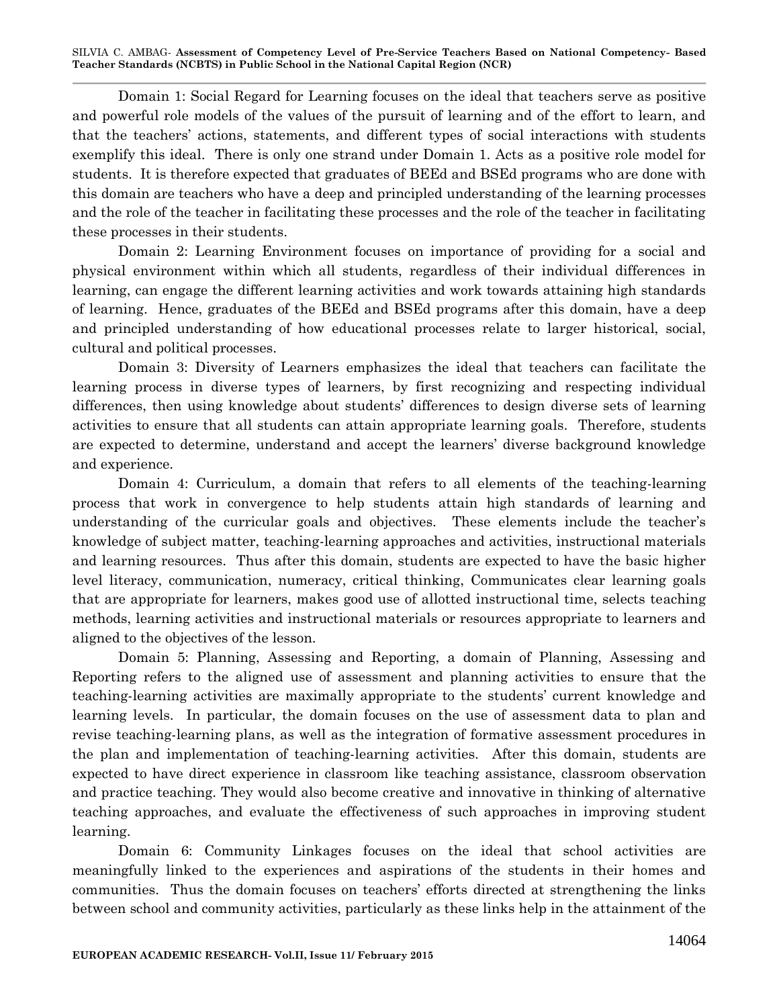Domain 1: Social Regard for Learning focuses on the ideal that teachers serve as positive and powerful role models of the values of the pursuit of learning and of the effort to learn, and that the teachers' actions, statements, and different types of social interactions with students exemplify this ideal. There is only one strand under Domain 1. Acts as a positive role model for students. It is therefore expected that graduates of BEEd and BSEd programs who are done with this domain are teachers who have a deep and principled understanding of the learning processes and the role of the teacher in facilitating these processes and the role of the teacher in facilitating these processes in their students.

Domain 2: Learning Environment focuses on importance of providing for a social and physical environment within which all students, regardless of their individual differences in learning, can engage the different learning activities and work towards attaining high standards of learning. Hence, graduates of the BEEd and BSEd programs after this domain, have a deep and principled understanding of how educational processes relate to larger historical, social, cultural and political processes.

Domain 3: Diversity of Learners emphasizes the ideal that teachers can facilitate the learning process in diverse types of learners, by first recognizing and respecting individual differences, then using knowledge about students' differences to design diverse sets of learning activities to ensure that all students can attain appropriate learning goals. Therefore, students are expected to determine, understand and accept the learners' diverse background knowledge and experience.

Domain 4: Curriculum, a domain that refers to all elements of the teaching-learning process that work in convergence to help students attain high standards of learning and understanding of the curricular goals and objectives. These elements include the teacher's knowledge of subject matter, teaching-learning approaches and activities, instructional materials and learning resources. Thus after this domain, students are expected to have the basic higher level literacy, communication, numeracy, critical thinking, Communicates clear learning goals that are appropriate for learners, makes good use of allotted instructional time, selects teaching methods, learning activities and instructional materials or resources appropriate to learners and aligned to the objectives of the lesson.

Domain 5: Planning, Assessing and Reporting, a domain of Planning, Assessing and Reporting refers to the aligned use of assessment and planning activities to ensure that the teaching-learning activities are maximally appropriate to the students' current knowledge and learning levels. In particular, the domain focuses on the use of assessment data to plan and revise teaching-learning plans, as well as the integration of formative assessment procedures in the plan and implementation of teaching-learning activities. After this domain, students are expected to have direct experience in classroom like teaching assistance, classroom observation and practice teaching. They would also become creative and innovative in thinking of alternative teaching approaches, and evaluate the effectiveness of such approaches in improving student learning.

Domain 6: Community Linkages focuses on the ideal that school activities are meaningfully linked to the experiences and aspirations of the students in their homes and communities. Thus the domain focuses on teachers' efforts directed at strengthening the links between school and community activities, particularly as these links help in the attainment of the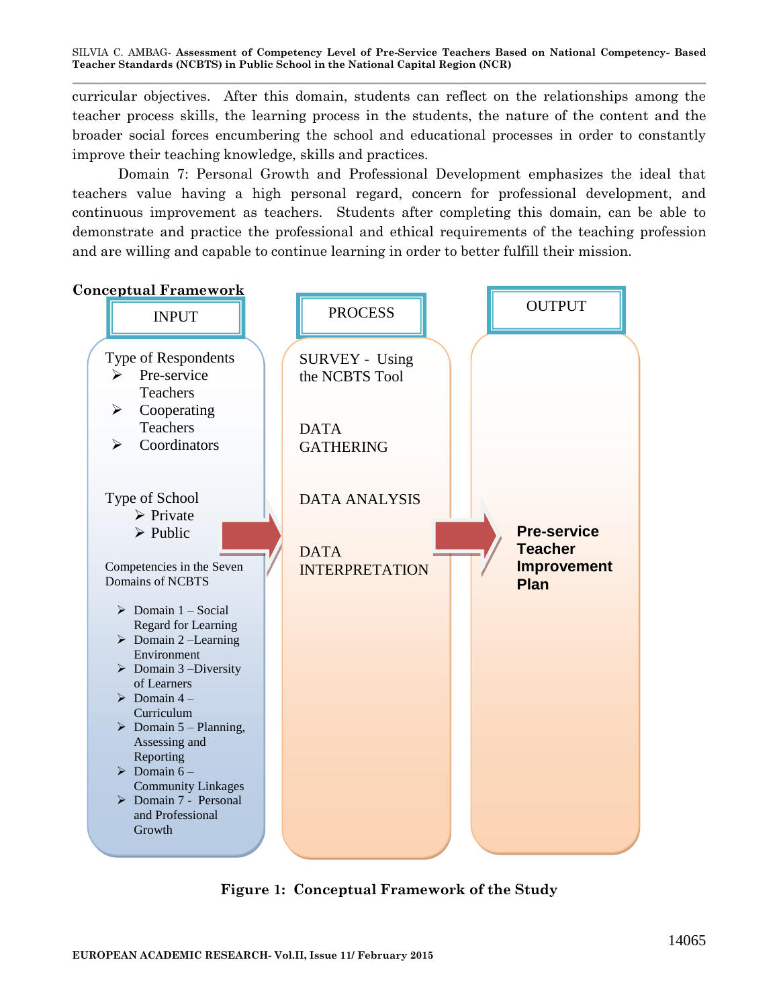curricular objectives. After this domain, students can reflect on the relationships among the teacher process skills, the learning process in the students, the nature of the content and the broader social forces encumbering the school and educational processes in order to constantly improve their teaching knowledge, skills and practices.

Domain 7: Personal Growth and Professional Development emphasizes the ideal that teachers value having a high personal regard, concern for professional development, and continuous improvement as teachers. Students after completing this domain, can be able to demonstrate and practice the professional and ethical requirements of the teaching profession and are willing and capable to continue learning in order to better fulfill their mission.



**Figure 1: Conceptual Framework of the Study**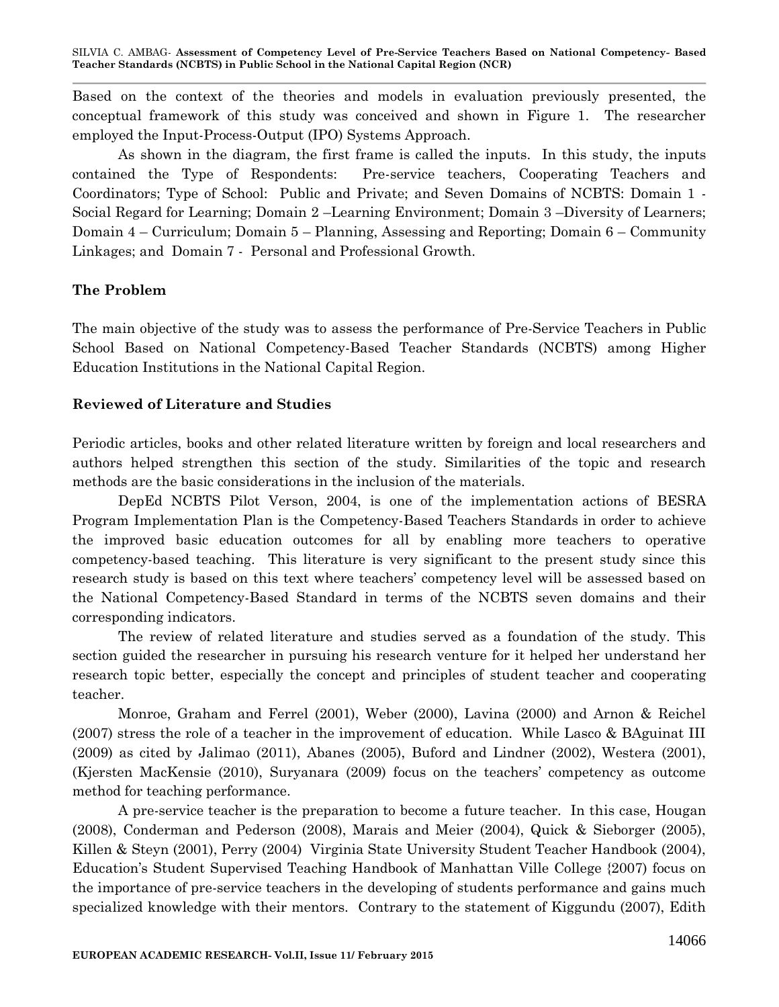Based on the context of the theories and models in evaluation previously presented, the conceptual framework of this study was conceived and shown in Figure 1. The researcher employed the Input-Process-Output (IPO) Systems Approach.

As shown in the diagram, the first frame is called the inputs. In this study, the inputs contained the Type of Respondents: Pre-service teachers, Cooperating Teachers and Coordinators; Type of School: Public and Private; and Seven Domains of NCBTS: Domain 1 - Social Regard for Learning; Domain 2 –Learning Environment; Domain 3 –Diversity of Learners; Domain 4 – Curriculum; Domain 5 – Planning, Assessing and Reporting; Domain 6 – Community Linkages; and Domain 7 - Personal and Professional Growth.

## **The Problem**

The main objective of the study was to assess the performance of Pre-Service Teachers in Public School Based on National Competency-Based Teacher Standards (NCBTS) among Higher Education Institutions in the National Capital Region.

## **Reviewed of Literature and Studies**

Periodic articles, books and other related literature written by foreign and local researchers and authors helped strengthen this section of the study. Similarities of the topic and research methods are the basic considerations in the inclusion of the materials.

DepEd NCBTS Pilot Verson, 2004, is one of the implementation actions of BESRA Program Implementation Plan is the Competency-Based Teachers Standards in order to achieve the improved basic education outcomes for all by enabling more teachers to operative competency-based teaching. This literature is very significant to the present study since this research study is based on this text where teachers' competency level will be assessed based on the National Competency-Based Standard in terms of the NCBTS seven domains and their corresponding indicators.

The review of related literature and studies served as a foundation of the study. This section guided the researcher in pursuing his research venture for it helped her understand her research topic better, especially the concept and principles of student teacher and cooperating teacher.

Monroe, Graham and Ferrel (2001), Weber (2000), Lavina (2000) and Arnon & Reichel (2007) stress the role of a teacher in the improvement of education. While Lasco & BAguinat III (2009) as cited by Jalimao (2011), Abanes (2005), Buford and Lindner (2002), Westera (2001), (Kjersten MacKensie (2010), Suryanara (2009) focus on the teachers' competency as outcome method for teaching performance.

A pre-service teacher is the preparation to become a future teacher. In this case, Hougan (2008), Conderman and Pederson (2008), Marais and Meier (2004), Quick & Sieborger (2005), Killen & Steyn (2001), Perry (2004) Virginia State University Student Teacher Handbook (2004), Education's Student Supervised Teaching Handbook of Manhattan Ville College {2007) focus on the importance of pre-service teachers in the developing of students performance and gains much specialized knowledge with their mentors. Contrary to the statement of Kiggundu (2007), Edith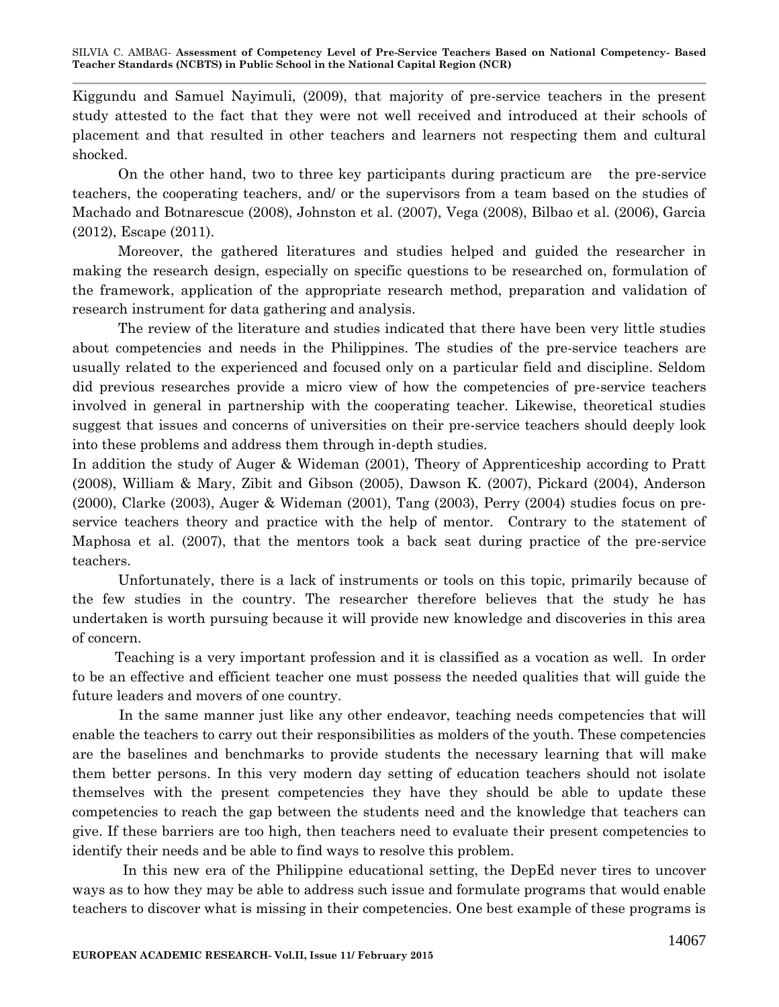Kiggundu and Samuel Nayimuli, (2009), that majority of pre-service teachers in the present study attested to the fact that they were not well received and introduced at their schools of placement and that resulted in other teachers and learners not respecting them and cultural shocked.

On the other hand, two to three key participants during practicum are the pre-service teachers, the cooperating teachers, and/ or the supervisors from a team based on the studies of Machado and Botnarescue (2008), Johnston et al. (2007), Vega (2008), Bilbao et al. (2006), Garcia (2012), Escape (2011).

Moreover, the gathered literatures and studies helped and guided the researcher in making the research design, especially on specific questions to be researched on, formulation of the framework, application of the appropriate research method, preparation and validation of research instrument for data gathering and analysis.

The review of the literature and studies indicated that there have been very little studies about competencies and needs in the Philippines. The studies of the pre-service teachers are usually related to the experienced and focused only on a particular field and discipline. Seldom did previous researches provide a micro view of how the competencies of pre-service teachers involved in general in partnership with the cooperating teacher. Likewise, theoretical studies suggest that issues and concerns of universities on their pre-service teachers should deeply look into these problems and address them through in-depth studies.

In addition the study of Auger & Wideman (2001), Theory of Apprenticeship according to Pratt (2008), William & Mary, Zibit and Gibson (2005), Dawson K. (2007), Pickard (2004), Anderson (2000), Clarke (2003), Auger & Wideman (2001), Tang (2003), Perry (2004) studies focus on preservice teachers theory and practice with the help of mentor. Contrary to the statement of Maphosa et al. (2007), that the mentors took a back seat during practice of the pre-service teachers.

Unfortunately, there is a lack of instruments or tools on this topic, primarily because of the few studies in the country. The researcher therefore believes that the study he has undertaken is worth pursuing because it will provide new knowledge and discoveries in this area of concern.

 Teaching is a very important profession and it is classified as a vocation as well. In order to be an effective and efficient teacher one must possess the needed qualities that will guide the future leaders and movers of one country.

 In the same manner just like any other endeavor, teaching needs competencies that will enable the teachers to carry out their responsibilities as molders of the youth. These competencies are the baselines and benchmarks to provide students the necessary learning that will make them better persons. In this very modern day setting of education teachers should not isolate themselves with the present competencies they have they should be able to update these competencies to reach the gap between the students need and the knowledge that teachers can give. If these barriers are too high, then teachers need to evaluate their present competencies to identify their needs and be able to find ways to resolve this problem.

 In this new era of the Philippine educational setting, the DepEd never tires to uncover ways as to how they may be able to address such issue and formulate programs that would enable teachers to discover what is missing in their competencies. One best example of these programs is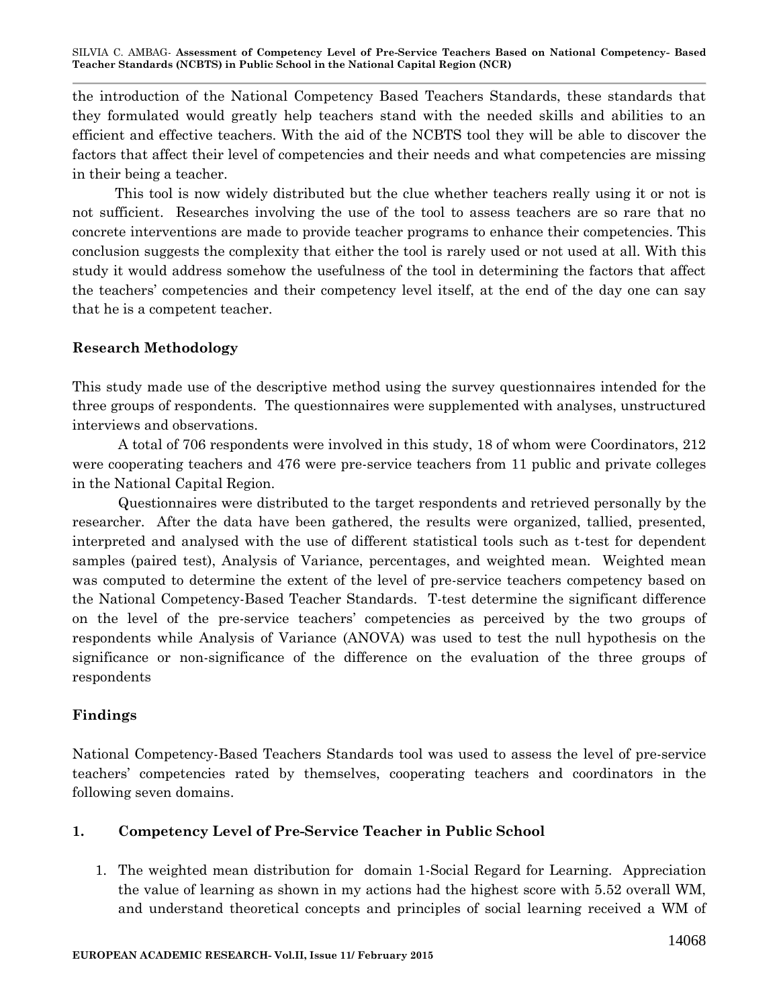the introduction of the National Competency Based Teachers Standards, these standards that they formulated would greatly help teachers stand with the needed skills and abilities to an efficient and effective teachers. With the aid of the NCBTS tool they will be able to discover the factors that affect their level of competencies and their needs and what competencies are missing in their being a teacher.

 This tool is now widely distributed but the clue whether teachers really using it or not is not sufficient. Researches involving the use of the tool to assess teachers are so rare that no concrete interventions are made to provide teacher programs to enhance their competencies. This conclusion suggests the complexity that either the tool is rarely used or not used at all. With this study it would address somehow the usefulness of the tool in determining the factors that affect the teachers' competencies and their competency level itself, at the end of the day one can say that he is a competent teacher.

# **Research Methodology**

This study made use of the descriptive method using the survey questionnaires intended for the three groups of respondents. The questionnaires were supplemented with analyses, unstructured interviews and observations.

A total of 706 respondents were involved in this study, 18 of whom were Coordinators, 212 were cooperating teachers and 476 were pre-service teachers from 11 public and private colleges in the National Capital Region.

Questionnaires were distributed to the target respondents and retrieved personally by the researcher. After the data have been gathered, the results were organized, tallied, presented, interpreted and analysed with the use of different statistical tools such as t-test for dependent samples (paired test), Analysis of Variance, percentages, and weighted mean. Weighted mean was computed to determine the extent of the level of pre-service teachers competency based on the National Competency-Based Teacher Standards. T-test determine the significant difference on the level of the pre-service teachers' competencies as perceived by the two groups of respondents while Analysis of Variance (ANOVA) was used to test the null hypothesis on the significance or non-significance of the difference on the evaluation of the three groups of respondents

# **Findings**

National Competency-Based Teachers Standards tool was used to assess the level of pre-service teachers' competencies rated by themselves, cooperating teachers and coordinators in the following seven domains.

## **1. Competency Level of Pre-Service Teacher in Public School**

1. The weighted mean distribution for domain 1-Social Regard for Learning. Appreciation the value of learning as shown in my actions had the highest score with 5.52 overall WM, and understand theoretical concepts and principles of social learning received a WM of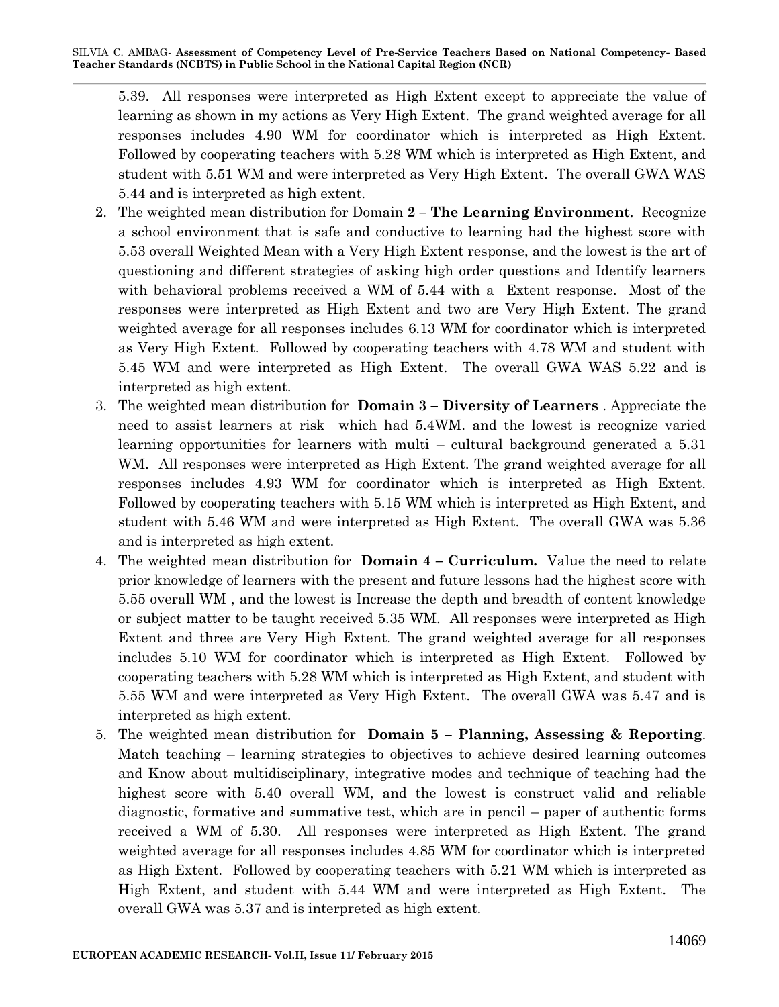5.39. All responses were interpreted as High Extent except to appreciate the value of learning as shown in my actions as Very High Extent. The grand weighted average for all responses includes 4.90 WM for coordinator which is interpreted as High Extent. Followed by cooperating teachers with 5.28 WM which is interpreted as High Extent, and student with 5.51 WM and were interpreted as Very High Extent. The overall GWA WAS 5.44 and is interpreted as high extent.

- 2. The weighted mean distribution for Domain **2 – The Learning Environment**. Recognize a school environment that is safe and conductive to learning had the highest score with 5.53 overall Weighted Mean with a Very High Extent response, and the lowest is the art of questioning and different strategies of asking high order questions and Identify learners with behavioral problems received a WM of 5.44 with a Extent response. Most of the responses were interpreted as High Extent and two are Very High Extent. The grand weighted average for all responses includes 6.13 WM for coordinator which is interpreted as Very High Extent. Followed by cooperating teachers with 4.78 WM and student with 5.45 WM and were interpreted as High Extent. The overall GWA WAS 5.22 and is interpreted as high extent.
- 3. The weighted mean distribution for **Domain 3 – Diversity of Learners** . Appreciate the need to assist learners at risk which had 5.4WM. and the lowest is recognize varied learning opportunities for learners with multi – cultural background generated a 5.31 WM. All responses were interpreted as High Extent. The grand weighted average for all responses includes 4.93 WM for coordinator which is interpreted as High Extent. Followed by cooperating teachers with 5.15 WM which is interpreted as High Extent, and student with 5.46 WM and were interpreted as High Extent. The overall GWA was 5.36 and is interpreted as high extent.
- 4. The weighted mean distribution for **Domain 4 – Curriculum.** Value the need to relate prior knowledge of learners with the present and future lessons had the highest score with 5.55 overall WM , and the lowest is Increase the depth and breadth of content knowledge or subject matter to be taught received 5.35 WM. All responses were interpreted as High Extent and three are Very High Extent. The grand weighted average for all responses includes 5.10 WM for coordinator which is interpreted as High Extent. Followed by cooperating teachers with 5.28 WM which is interpreted as High Extent, and student with 5.55 WM and were interpreted as Very High Extent. The overall GWA was 5.47 and is interpreted as high extent.
- 5. The weighted mean distribution for **Domain 5 – Planning, Assessing & Reporting**. Match teaching – learning strategies to objectives to achieve desired learning outcomes and Know about multidisciplinary, integrative modes and technique of teaching had the highest score with 5.40 overall WM, and the lowest is construct valid and reliable diagnostic, formative and summative test, which are in pencil – paper of authentic forms received a WM of 5.30. All responses were interpreted as High Extent. The grand weighted average for all responses includes 4.85 WM for coordinator which is interpreted as High Extent. Followed by cooperating teachers with 5.21 WM which is interpreted as High Extent, and student with 5.44 WM and were interpreted as High Extent. The overall GWA was 5.37 and is interpreted as high extent.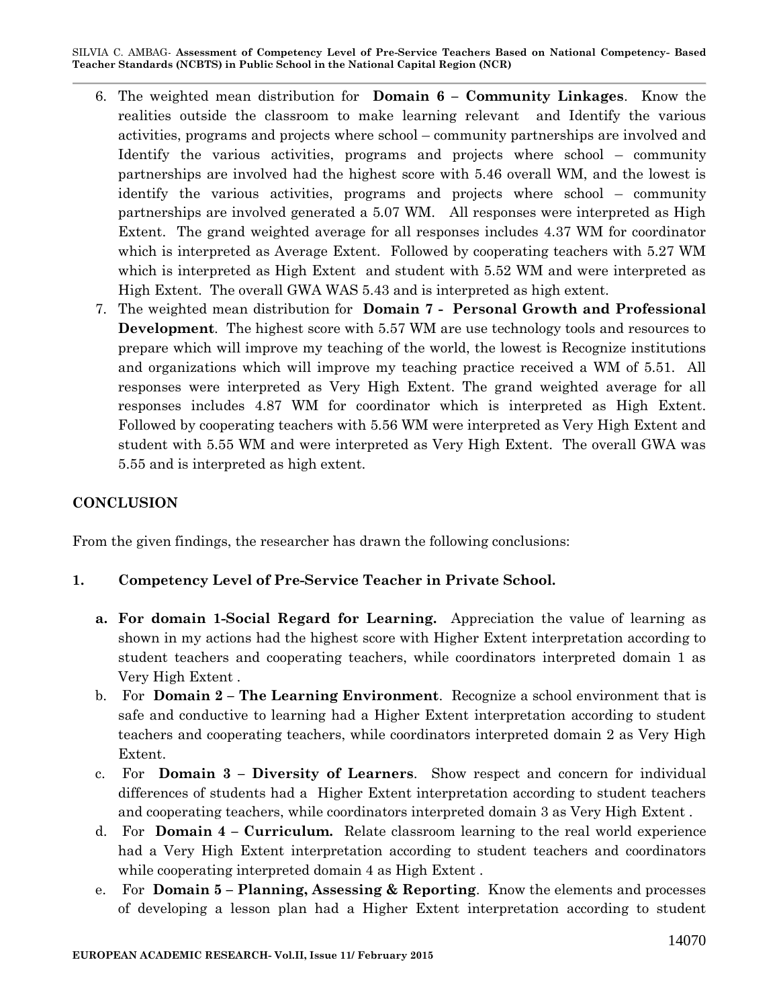- 6. The weighted mean distribution for **Domain 6 – Community Linkages**. Know the realities outside the classroom to make learning relevant and Identify the various activities, programs and projects where school – community partnerships are involved and Identify the various activities, programs and projects where school – community partnerships are involved had the highest score with 5.46 overall WM, and the lowest is identify the various activities, programs and projects where school – community partnerships are involved generated a 5.07 WM. All responses were interpreted as High Extent. The grand weighted average for all responses includes 4.37 WM for coordinator which is interpreted as Average Extent. Followed by cooperating teachers with 5.27 WM which is interpreted as High Extent and student with 5.52 WM and were interpreted as High Extent. The overall GWA WAS 5.43 and is interpreted as high extent.
- 7. The weighted mean distribution for **Domain 7 - Personal Growth and Professional Development**. The highest score with 5.57 WM are use technology tools and resources to prepare which will improve my teaching of the world, the lowest is Recognize institutions and organizations which will improve my teaching practice received a WM of 5.51. All responses were interpreted as Very High Extent. The grand weighted average for all responses includes 4.87 WM for coordinator which is interpreted as High Extent. Followed by cooperating teachers with 5.56 WM were interpreted as Very High Extent and student with 5.55 WM and were interpreted as Very High Extent. The overall GWA was 5.55 and is interpreted as high extent.

#### **CONCLUSION**

From the given findings, the researcher has drawn the following conclusions:

#### **1. Competency Level of Pre-Service Teacher in Private School.**

- **a. For domain 1-Social Regard for Learning.** Appreciation the value of learning as shown in my actions had the highest score with Higher Extent interpretation according to student teachers and cooperating teachers, while coordinators interpreted domain 1 as Very High Extent .
- b. For **Domain 2 – The Learning Environment**. Recognize a school environment that is safe and conductive to learning had a Higher Extent interpretation according to student teachers and cooperating teachers, while coordinators interpreted domain 2 as Very High Extent.
- c. For **Domain 3 – Diversity of Learners**. Show respect and concern for individual differences of students had a Higher Extent interpretation according to student teachers and cooperating teachers, while coordinators interpreted domain 3 as Very High Extent .
- d. For **Domain 4 – Curriculum.** Relate classroom learning to the real world experience had a Very High Extent interpretation according to student teachers and coordinators while cooperating interpreted domain 4 as High Extent.
- e. For **Domain 5 – Planning, Assessing & Reporting**. Know the elements and processes of developing a lesson plan had a Higher Extent interpretation according to student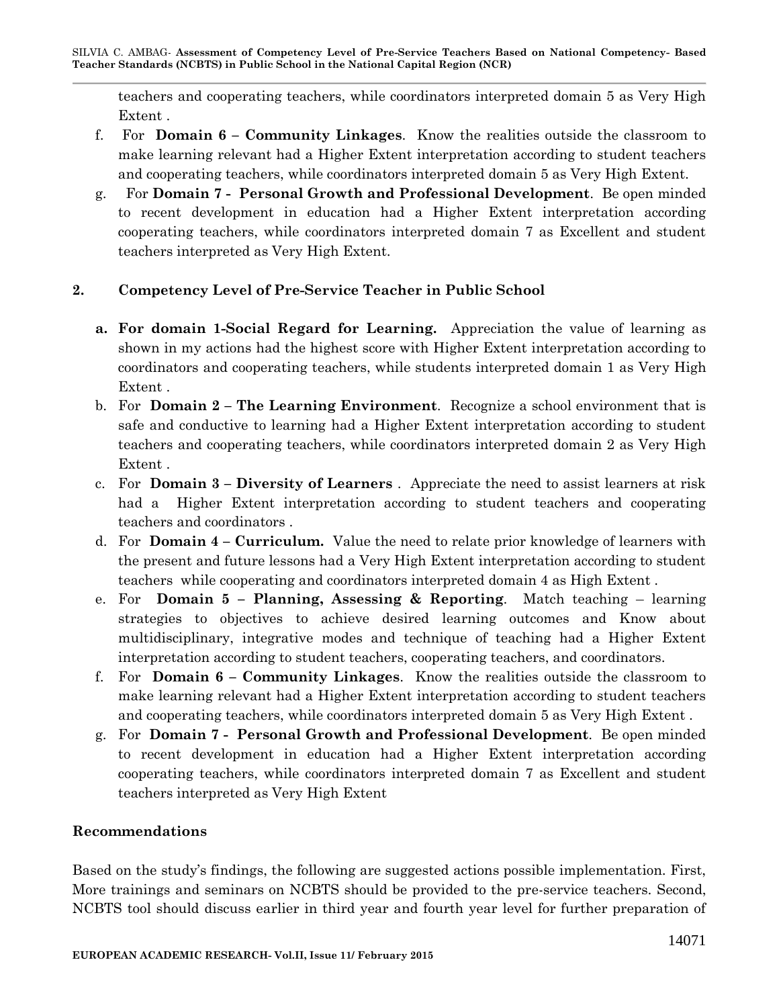teachers and cooperating teachers, while coordinators interpreted domain 5 as Very High Extent .

- f. For **Domain 6 – Community Linkages**. Know the realities outside the classroom to make learning relevant had a Higher Extent interpretation according to student teachers and cooperating teachers, while coordinators interpreted domain 5 as Very High Extent.
- g. For **Domain 7 - Personal Growth and Professional Development**. Be open minded to recent development in education had a Higher Extent interpretation according cooperating teachers, while coordinators interpreted domain 7 as Excellent and student teachers interpreted as Very High Extent.

# **2. Competency Level of Pre-Service Teacher in Public School**

- **a. For domain 1-Social Regard for Learning.** Appreciation the value of learning as shown in my actions had the highest score with Higher Extent interpretation according to coordinators and cooperating teachers, while students interpreted domain 1 as Very High Extent .
- b. For **Domain 2 – The Learning Environment**. Recognize a school environment that is safe and conductive to learning had a Higher Extent interpretation according to student teachers and cooperating teachers, while coordinators interpreted domain 2 as Very High Extent .
- c. For **Domain 3 – Diversity of Learners** . Appreciate the need to assist learners at risk had a Higher Extent interpretation according to student teachers and cooperating teachers and coordinators .
- d. For **Domain 4 – Curriculum.** Value the need to relate prior knowledge of learners with the present and future lessons had a Very High Extent interpretation according to student teachers while cooperating and coordinators interpreted domain 4 as High Extent .
- e. For **Domain 5 – Planning, Assessing & Reporting**. Match teaching learning strategies to objectives to achieve desired learning outcomes and Know about multidisciplinary, integrative modes and technique of teaching had a Higher Extent interpretation according to student teachers, cooperating teachers, and coordinators.
- f. For **Domain 6 – Community Linkages**. Know the realities outside the classroom to make learning relevant had a Higher Extent interpretation according to student teachers and cooperating teachers, while coordinators interpreted domain 5 as Very High Extent .
- g. For **Domain 7 - Personal Growth and Professional Development**. Be open minded to recent development in education had a Higher Extent interpretation according cooperating teachers, while coordinators interpreted domain 7 as Excellent and student teachers interpreted as Very High Extent

## **Recommendations**

Based on the study's findings, the following are suggested actions possible implementation. First, More trainings and seminars on NCBTS should be provided to the pre-service teachers. Second, NCBTS tool should discuss earlier in third year and fourth year level for further preparation of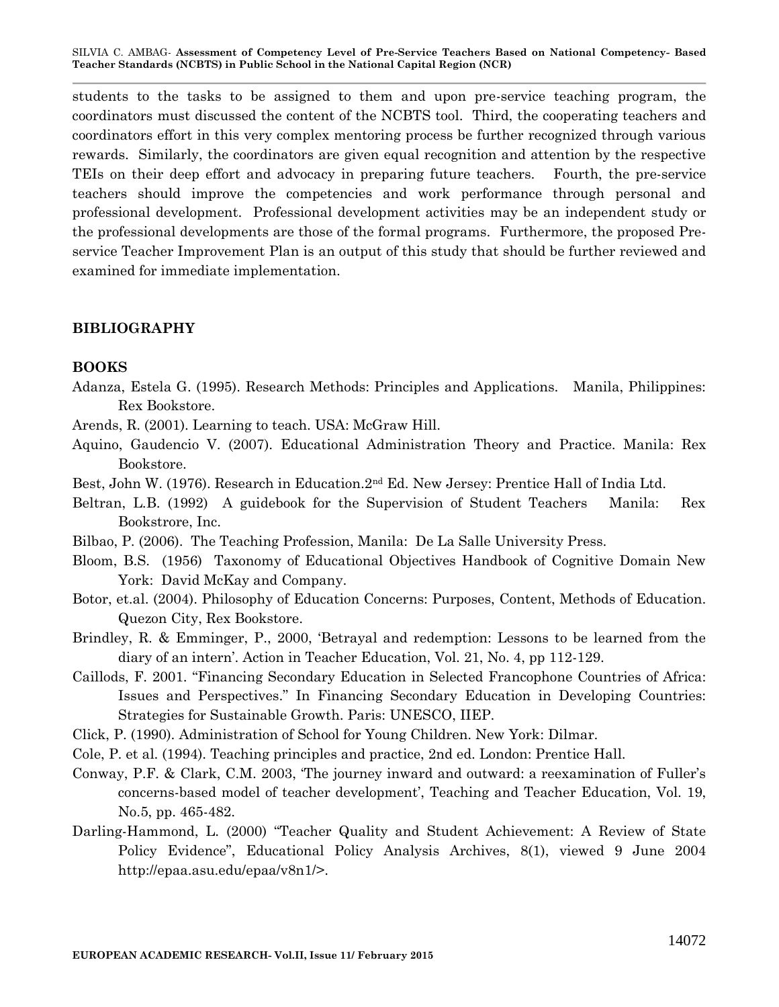students to the tasks to be assigned to them and upon pre-service teaching program, the coordinators must discussed the content of the NCBTS tool. Third, the cooperating teachers and coordinators effort in this very complex mentoring process be further recognized through various rewards. Similarly, the coordinators are given equal recognition and attention by the respective TEIs on their deep effort and advocacy in preparing future teachers. Fourth, the pre-service teachers should improve the competencies and work performance through personal and professional development. Professional development activities may be an independent study or the professional developments are those of the formal programs. Furthermore, the proposed Preservice Teacher Improvement Plan is an output of this study that should be further reviewed and examined for immediate implementation.

#### **BIBLIOGRAPHY**

#### **BOOKS**

Adanza, Estela G. (1995). Research Methods: Principles and Applications. Manila, Philippines: Rex Bookstore.

Arends, R. (2001). Learning to teach. USA: McGraw Hill.

- Aquino, Gaudencio V. (2007). Educational Administration Theory and Practice. Manila: Rex Bookstore.
- Best, John W. (1976). Research in Education.2nd Ed. New Jersey: Prentice Hall of India Ltd.
- Beltran, L.B. (1992) A guidebook for the Supervision of Student Teachers Manila: Rex Bookstrore, Inc.
- Bilbao, P. (2006). The Teaching Profession, Manila: De La Salle University Press.
- Bloom, B.S. (1956) Taxonomy of Educational Objectives Handbook of Cognitive Domain New York: David McKay and Company.
- Botor, et.al. (2004). Philosophy of Education Concerns: Purposes, Content, Methods of Education. Quezon City, Rex Bookstore.
- Brindley, R. & Emminger, P., 2000, 'Betrayal and redemption: Lessons to be learned from the diary of an intern'. Action in Teacher Education, Vol. 21, No. 4, pp 112-129.
- Caillods, F. 2001. "Financing Secondary Education in Selected Francophone Countries of Africa: Issues and Perspectives." In Financing Secondary Education in Developing Countries: Strategies for Sustainable Growth. Paris: UNESCO, IIEP.
- Click, P. (1990). Administration of School for Young Children. New York: Dilmar.
- Cole, P. et al. (1994). Teaching principles and practice, 2nd ed. London: Prentice Hall.
- Conway, P.F. & Clark, C.M. 2003, 'The journey inward and outward: a reexamination of Fuller's concerns-based model of teacher development', Teaching and Teacher Education, Vol. 19, No.5, pp. 465-482.
- Darling-Hammond, L. (2000) "Teacher Quality and Student Achievement: A Review of State Policy Evidence", Educational Policy Analysis Archives, 8(1), viewed 9 June 2004 [http://epaa.asu.edu/epaa/v8n1/>](http://epaa.asu.edu/epaa/v8n1/).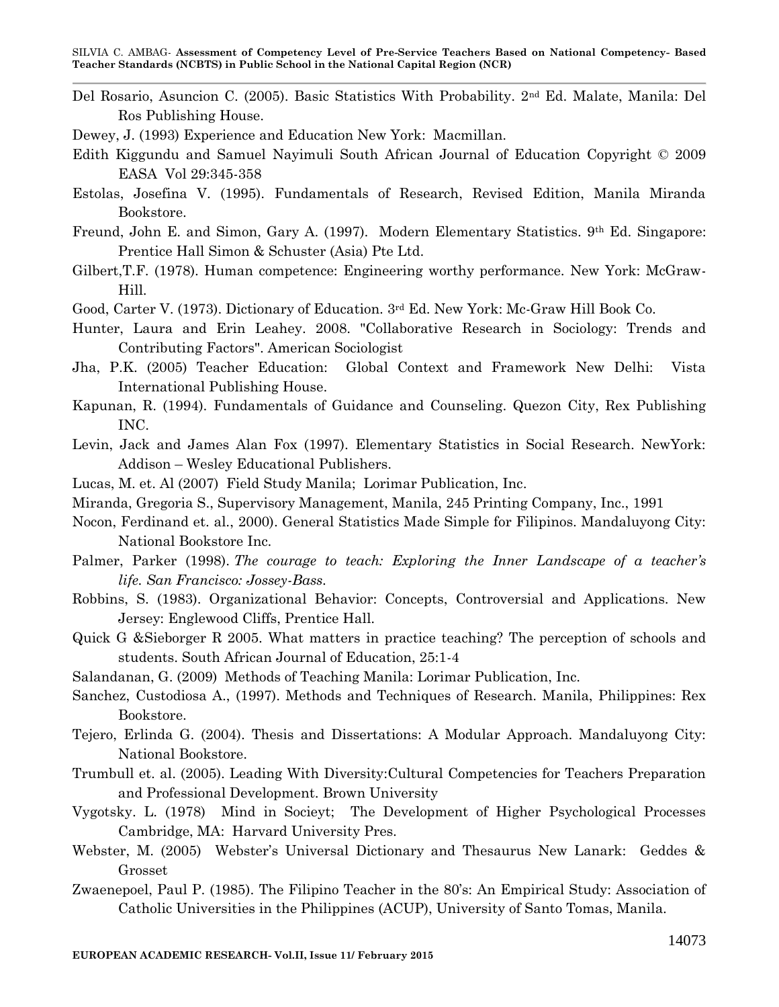- Del Rosario, Asuncion C. (2005). Basic Statistics With Probability. 2nd Ed. Malate, Manila: Del Ros Publishing House.
- Dewey, J. (1993) Experience and Education New York: Macmillan.
- Edith Kiggundu and Samuel Nayimuli South African Journal of Education Copyright © 2009 EASA Vol 29:345-358
- Estolas, Josefina V. (1995). Fundamentals of Research, Revised Edition, Manila Miranda Bookstore.
- Freund, John E. and Simon, Gary A. (1997). Modern Elementary Statistics. 9th Ed. Singapore: Prentice Hall Simon & Schuster (Asia) Pte Ltd.
- Gilbert,T.F. (1978). Human competence: Engineering worthy performance. New York: McGraw-Hill.
- Good, Carter V. (1973). Dictionary of Education. 3rd Ed. New York: Mc-Graw Hill Book Co.
- Hunter, Laura and Erin Leahey. 2008. "Collaborative Research in Sociology: Trends and Contributing Factors". American Sociologist
- Jha, P.K. (2005) Teacher Education: Global Context and Framework New Delhi: Vista International Publishing House.
- Kapunan, R. (1994). Fundamentals of Guidance and Counseling. Quezon City, Rex Publishing INC.
- Levin, Jack and James Alan Fox (1997). Elementary Statistics in Social Research. NewYork: Addison – Wesley Educational Publishers.
- Lucas, M. et. Al (2007) Field Study Manila; Lorimar Publication, Inc.
- Miranda, Gregoria S., Supervisory Management, Manila, 245 Printing Company, Inc., 1991
- Nocon, Ferdinand et. al., 2000). General Statistics Made Simple for Filipinos. Mandaluyong City: National Bookstore Inc.
- Palmer, Parker (1998). *The courage to teach: Exploring the Inner Landscape of a teacher's life. San Francisco: Jossey-Bass.*
- Robbins, S. (1983). Organizational Behavior: Concepts, Controversial and Applications. New Jersey: Englewood Cliffs, Prentice Hall.
- Quick G &Sieborger R 2005. What matters in practice teaching? The perception of schools and students. South African Journal of Education, 25:1-4
- Salandanan, G. (2009) Methods of Teaching Manila: Lorimar Publication, Inc.
- Sanchez, Custodiosa A., (1997). Methods and Techniques of Research. Manila, Philippines: Rex Bookstore.
- Tejero, Erlinda G. (2004). Thesis and Dissertations: A Modular Approach. Mandaluyong City: National Bookstore.
- Trumbull et. al. (2005). Leading With Diversity:Cultural Competencies for Teachers Preparation and Professional Development. Brown University
- Vygotsky. L. (1978) Mind in Socieyt; The Development of Higher Psychological Processes Cambridge, MA: Harvard University Pres.
- Webster, M. (2005) Webster's Universal Dictionary and Thesaurus New Lanark: Geddes & Grosset
- Zwaenepoel, Paul P. (1985). The Filipino Teacher in the 80's: An Empirical Study: Association of Catholic Universities in the Philippines (ACUP), University of Santo Tomas, Manila.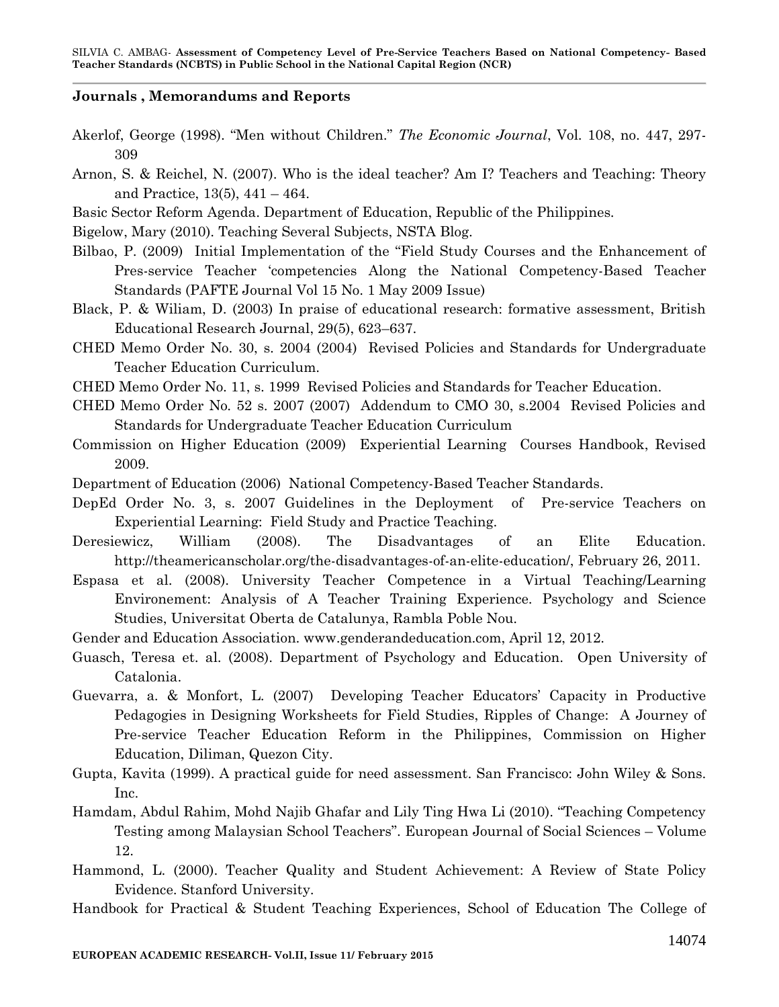#### **Journals , Memorandums and Reports**

- Akerlof, George (1998). "Men without Children." *The Economic Journal*, Vol. 108, no. 447, 297- 309
- Arnon, S. & Reichel, N. (2007). Who is the ideal teacher? Am I? Teachers and Teaching: Theory and Practice, 13(5), 441 – 464.

Basic Sector Reform Agenda. Department of Education, Republic of the Philippines.

Bigelow, Mary (2010). Teaching Several Subjects, NSTA Blog.

- Bilbao, P. (2009) Initial Implementation of the "Field Study Courses and the Enhancement of Pres-service Teacher 'competencies Along the National Competency-Based Teacher Standards (PAFTE Journal Vol 15 No. 1 May 2009 Issue)
- Black, P. & Wiliam, D. (2003) In praise of educational research: formative assessment, British Educational Research Journal, 29(5), 623–637.
- CHED Memo Order No. 30, s. 2004 (2004) Revised Policies and Standards for Undergraduate Teacher Education Curriculum.
- CHED Memo Order No. 11, s. 1999 Revised Policies and Standards for Teacher Education.
- CHED Memo Order No. 52 s. 2007 (2007) Addendum to CMO 30, s.2004 Revised Policies and Standards for Undergraduate Teacher Education Curriculum
- Commission on Higher Education (2009) Experiential Learning Courses Handbook, Revised 2009.
- Department of Education (2006) National Competency-Based Teacher Standards.
- DepEd Order No. 3, s. 2007 Guidelines in the Deployment of Pre-service Teachers on Experiential Learning: Field Study and Practice Teaching.
- Deresiewicz, William (2008). The Disadvantages of an Elite Education. [http://theamericanscholar.org/the-disadvantages-of-an-elite-education/,](http://theamericanscholar.org/the-disadvantages-of-an-elite-education/) February 26, 2011.
- Espasa et al. (2008). University Teacher Competence in a Virtual Teaching/Learning Environement: Analysis of A Teacher Training Experience. Psychology and Science Studies, Universitat Oberta de Catalunya, Rambla Poble Nou.
- Gender and Education Association. www.genderandeducation.com, April 12, 2012.
- Guasch, Teresa et. al. (2008). Department of Psychology and Education. Open University of Catalonia.
- Guevarra, a. & Monfort, L. (2007) Developing Teacher Educators' Capacity in Productive Pedagogies in Designing Worksheets for Field Studies, Ripples of Change: A Journey of Pre-service Teacher Education Reform in the Philippines, Commission on Higher Education, Diliman, Quezon City.
- Gupta, Kavita (1999). A practical guide for need assessment. San Francisco: John Wiley & Sons. Inc.
- Hamdam, Abdul Rahim, Mohd Najib Ghafar and Lily Ting Hwa Li (2010). "Teaching Competency Testing among Malaysian School Teachers". European Journal of Social Sciences – Volume 12.
- Hammond, L. (2000). Teacher Quality and Student Achievement: A Review of State Policy Evidence. Stanford University.
- Handbook for Practical & Student Teaching Experiences, School of Education The College of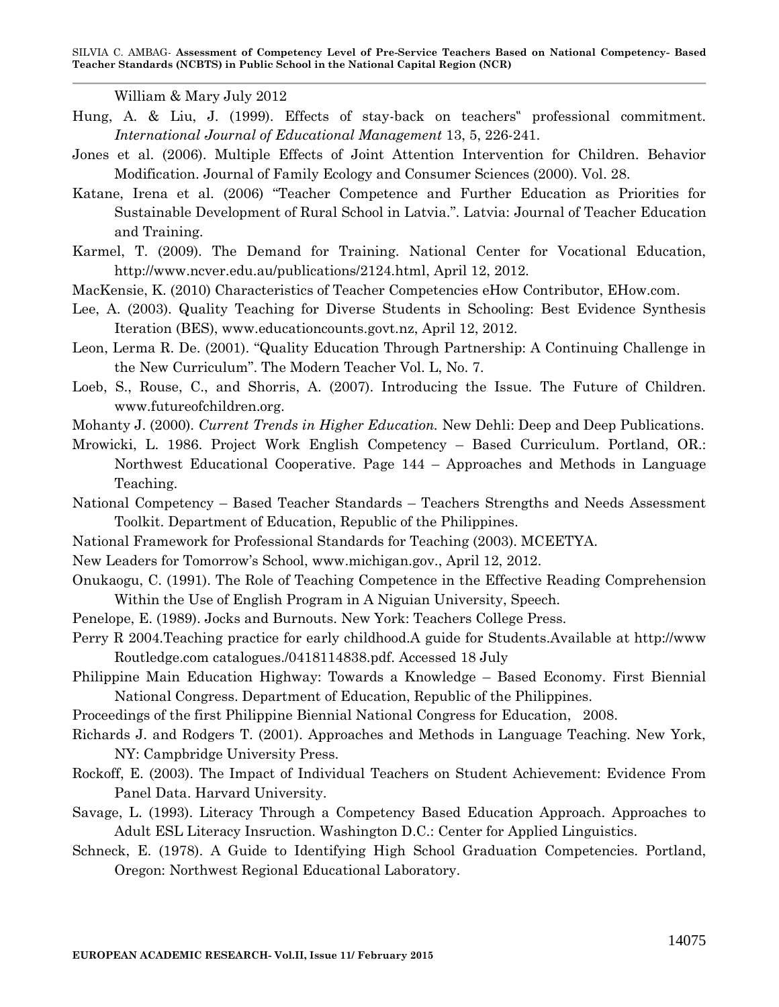William & Mary July 2012

- Hung, A. & Liu, J. (1999). Effects of stay-back on teachers" professional commitment. *International Journal of Educational Management* 13, 5, 226-241.
- Jones et al. (2006). Multiple Effects of Joint Attention Intervention for Children. Behavior Modification. Journal of Family Ecology and Consumer Sciences (2000). Vol. 28.
- Katane, Irena et al. (2006) "Teacher Competence and Further Education as Priorities for Sustainable Development of Rural School in Latvia.". Latvia: Journal of Teacher Education and Training.
- Karmel, T. (2009). The Demand for Training. National Center for Vocational Education, [http://www.ncver.edu.au/publications/2124.html,](http://www.ncver.edu.au/publications/2124.html) April 12, 2012.
- [MacKensie,](http://www.ehow.com/members/ds_fb6644c0-4d0b-4a59-bd62-b44e089ce17f.html) K. (2010) Characteristics of Teacher Competencies eHow Contributor, EHow.com.
- Lee, A. (2003). Quality Teaching for Diverse Students in Schooling: Best Evidence Synthesis Iteration (BES), [www.educationcounts.govt.nz,](http://www.educationcounts.govt.nz/) April 12, 2012.
- Leon, Lerma R. De. (2001). "Quality Education Through Partnership: A Continuing Challenge in the New Curriculum". The Modern Teacher Vol. L, No. 7.
- Loeb, S., Rouse, C., and Shorris, A. (2007). Introducing the Issue. The Future of Children. www.futureofchildren.org.

Mohanty J. (2000). *Current Trends in Higher Education.* New Dehli: Deep and Deep Publications.

- Mrowicki, L. 1986. Project Work English Competency Based Curriculum. Portland, OR.: Northwest Educational Cooperative. Page 144 – Approaches and Methods in Language Teaching.
- National Competency Based Teacher Standards Teachers Strengths and Needs Assessment Toolkit. Department of Education, Republic of the Philippines.
- National Framework for Professional Standards for Teaching (2003). MCEETYA.
- New Leaders for Tomorrow's School, [www.michigan.gov.](http://www.michigan.gov/), April 12, 2012.
- Onukaogu, C. (1991). The Role of Teaching Competence in the Effective Reading Comprehension Within the Use of English Program in A Niguian University, Speech.
- Penelope, E. (1989). Jocks and Burnouts. New York: Teachers College Press.
- Perry R 2004.Teaching practice for early childhood.A guide for Students.Available at http://www Routledge.com catalogues./0418114838.pdf. Accessed 18 July
- Philippine Main Education Highway: Towards a Knowledge Based Economy. First Biennial National Congress. Department of Education, Republic of the Philippines.
- Proceedings of the first Philippine Biennial National Congress for Education, 2008.
- Richards J. and Rodgers T. (2001). Approaches and Methods in Language Teaching. New York, NY: Campbridge University Press.
- Rockoff, E. (2003). The Impact of Individual Teachers on Student Achievement: Evidence From Panel Data. Harvard University.
- Savage, L. (1993). Literacy Through a Competency Based Education Approach. Approaches to Adult ESL Literacy Insruction. Washington D.C.: Center for Applied Linguistics.
- Schneck, E. (1978). A Guide to Identifying High School Graduation Competencies. Portland, Oregon: Northwest Regional Educational Laboratory.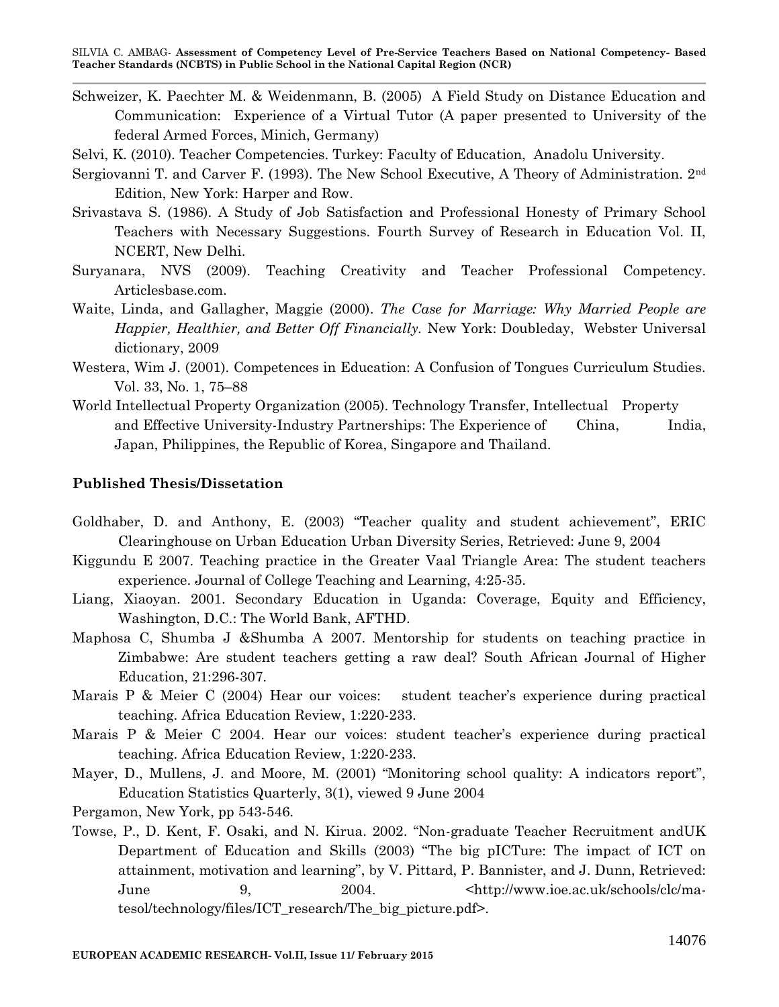- Schweizer, K. Paechter M. & Weidenmann, B. (2005) A Field Study on Distance Education and Communication: Experience of a Virtual Tutor (A paper presented to University of the federal Armed Forces, Minich, Germany)
- Selvi, K. (2010). Teacher Competencies. Turkey: Faculty of Education, Anadolu University.
- Sergiovanni T. and Carver F. (1993). The New School Executive, A Theory of Administration. 2nd Edition, New York: Harper and Row.
- Srivastava S. (1986). A Study of Job Satisfaction and Professional Honesty of Primary School Teachers with Necessary Suggestions. Fourth Survey of Research in Education Vol. II, NCERT, New Delhi.
- Suryanara, NVS (2009). Teaching Creativity and Teacher Professional Competency. Articlesbase.com.
- Waite, Linda, and Gallagher, Maggie (2000). *The Case for Marriage: Why Married People are Happier, Healthier, and Better Off Financially.* New York: Doubleday, Webster Universal dictionary, 2009
- Westera, Wim J. (2001). Competences in Education: A Confusion of Tongues Curriculum Studies. Vol. 33, No. 1, 75–88
- World Intellectual Property Organization (2005). Technology Transfer, Intellectual Property and Effective University-Industry Partnerships: The Experience of China, India, Japan, Philippines, the Republic of Korea, Singapore and Thailand.

## **Published Thesis/Dissetation**

- Goldhaber, D. and Anthony, E. (2003) "Teacher quality and student achievement", ERIC Clearinghouse on Urban Education Urban Diversity Series, Retrieved: June 9, 2004
- Kiggundu E 2007. Teaching practice in the Greater Vaal Triangle Area: The student teachers experience. Journal of College Teaching and Learning, 4:25-35.
- Liang, Xiaoyan. 2001. Secondary Education in Uganda: Coverage, Equity and Efficiency, Washington, D.C.: The World Bank, AFTHD.
- Maphosa C, Shumba J &Shumba A 2007. Mentorship for students on teaching practice in Zimbabwe: Are student teachers getting a raw deal? South African Journal of Higher Education, 21:296-307.
- Marais P & Meier C (2004) Hear our voices: student teacher's experience during practical teaching. Africa Education Review, 1:220-233.
- Marais P & Meier C 2004. Hear our voices: student teacher's experience during practical teaching. Africa Education Review, 1:220-233.
- Mayer, D., Mullens, J. and Moore, M. (2001) "Monitoring school quality: A indicators report", Education Statistics Quarterly, 3(1), viewed 9 June 2004
- Pergamon, New York, pp 543-546.
- Towse, P., D. Kent, F. Osaki, and N. Kirua. 2002. "Non-graduate Teacher Recruitment andUK Department of Education and Skills (2003) "The big pICTure: The impact of ICT on attainment, motivation and learning", by V. Pittard, P. Bannister, and J. Dunn, Retrieved: June 9, 2004. <http://www.ioe.ac.uk/schools/clc/matesol/technology/files/ICT\_research/The\_big\_picture.pdf>.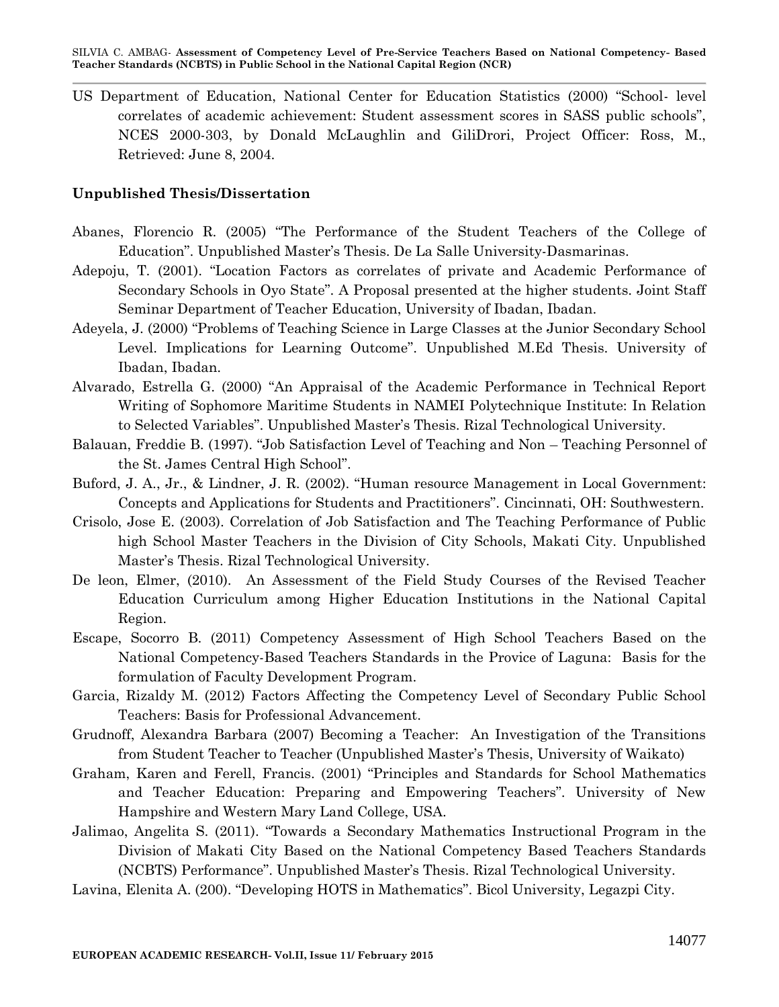US Department of Education, National Center for Education Statistics (2000) "School- level correlates of academic achievement: Student assessment scores in SASS public schools", NCES 2000-303, by Donald McLaughlin and GiliDrori, Project Officer: Ross, M., Retrieved: June 8, 2004.

#### **Unpublished Thesis/Dissertation**

- Abanes, Florencio R. (2005) "The Performance of the Student Teachers of the College of Education". Unpublished Master's Thesis. De La Salle University-Dasmarinas.
- Adepoju, T. (2001). "Location Factors as correlates of private and Academic Performance of Secondary Schools in Oyo State". A Proposal presented at the higher students. Joint Staff Seminar Department of Teacher Education, University of Ibadan, Ibadan.
- Adeyela, J. (2000) "Problems of Teaching Science in Large Classes at the Junior Secondary School Level. Implications for Learning Outcome". Unpublished M.Ed Thesis. University of Ibadan, Ibadan.
- Alvarado, Estrella G. (2000) "An Appraisal of the Academic Performance in Technical Report Writing of Sophomore Maritime Students in NAMEI Polytechnique Institute: In Relation to Selected Variables". Unpublished Master's Thesis. Rizal Technological University.
- Balauan, Freddie B. (1997). "Job Satisfaction Level of Teaching and Non Teaching Personnel of the St. James Central High School".
- Buford, J. A., Jr., & Lindner, J. R. (2002). "Human resource Management in Local Government: Concepts and Applications for Students and Practitioners". Cincinnati, OH: Southwestern.
- Crisolo, Jose E. (2003). Correlation of Job Satisfaction and The Teaching Performance of Public high School Master Teachers in the Division of City Schools, Makati City. Unpublished Master's Thesis. Rizal Technological University.
- De leon, Elmer, (2010). An Assessment of the Field Study Courses of the Revised Teacher Education Curriculum among Higher Education Institutions in the National Capital Region.
- Escape, Socorro B. (2011) Competency Assessment of High School Teachers Based on the National Competency-Based Teachers Standards in the Provice of Laguna: Basis for the formulation of Faculty Development Program.
- Garcia, Rizaldy M. (2012) Factors Affecting the Competency Level of Secondary Public School Teachers: Basis for Professional Advancement.
- Grudnoff, Alexandra Barbara (2007) Becoming a Teacher: An Investigation of the Transitions from Student Teacher to Teacher (Unpublished Master's Thesis, University of Waikato)
- Graham, Karen and Ferell, Francis. (2001) "Principles and Standards for School Mathematics and Teacher Education: Preparing and Empowering Teachers". University of New Hampshire and Western Mary Land College, USA.
- Jalimao, Angelita S. (2011). "Towards a Secondary Mathematics Instructional Program in the Division of Makati City Based on the National Competency Based Teachers Standards (NCBTS) Performance". Unpublished Master's Thesis. Rizal Technological University.
- Lavina, Elenita A. (200). "Developing HOTS in Mathematics". Bicol University, Legazpi City.